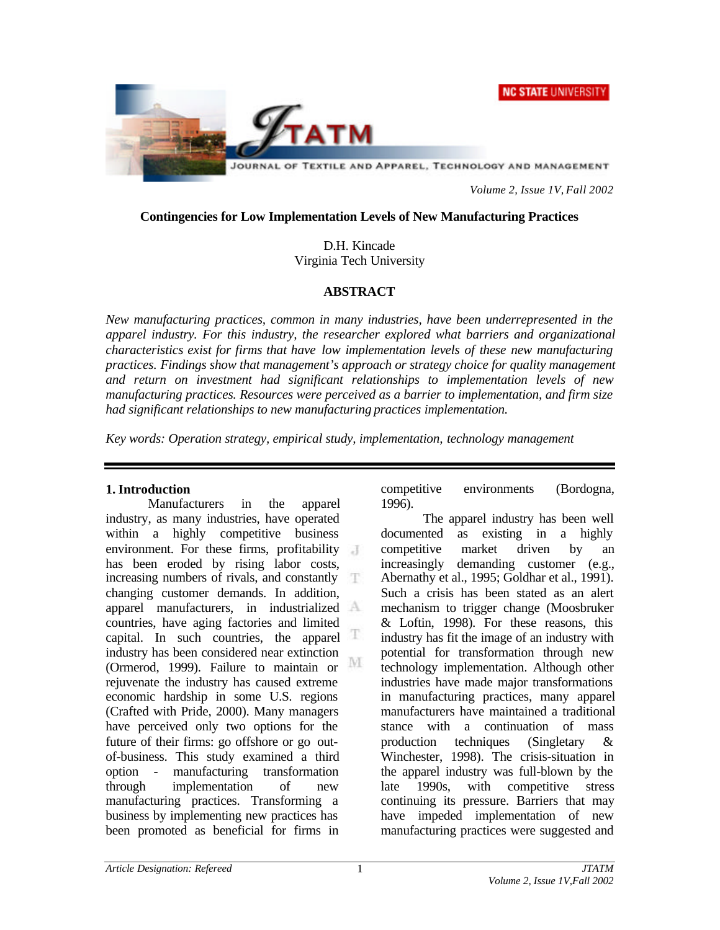



JOURNAL OF TEXTILE AND APPAREL, TECHNOLOGY AND MANAGEMENT

*Volume 2, Issue 1V, Fall 2002*

## **Contingencies for Low Implementation Levels of New Manufacturing Practices**

D.H. Kincade Virginia Tech University

## **ABSTRACT**

*New manufacturing practices, common in many industries, have been underrepresented in the apparel industry. For this industry, the researcher explored what barriers and organizational characteristics exist for firms that have low implementation levels of these new manufacturing practices. Findings show that management's approach or strategy choice for quality management and return on investment had significant relationships to implementation levels of new manufacturing practices. Resources were perceived as a barrier to implementation, and firm size had significant relationships to new manufacturing practices implementation.*

*Key words: Operation strategy, empirical study, implementation, technology management*

### **1. Introduction**

Manufacturers in the apparel industry, as many industries, have operated within a highly competitive business environment. For these firms, profitability has been eroded by rising labor costs, increasing numbers of rivals, and constantly changing customer demands. In addition, apparel manufacturers, in industrialized countries, have aging factories and limited capital. In such countries, the apparel  $\mathbb T$ industry has been considered near extinction M (Ormerod, 1999). Failure to maintain or rejuvenate the industry has caused extreme economic hardship in some U.S. regions (Crafted with Pride, 2000). Many managers have perceived only two options for the future of their firms: go offshore or go outof-business. This study examined a third option - manufacturing transformation through implementation of new manufacturing practices. Transforming a business by implementing new practices has been promoted as beneficial for firms in

competitive environments (Bordogna, 1996).

The apparel industry has been well documented as existing in a highly competitive market driven by an increasingly demanding customer (e.g., Abernathy et al., 1995; Goldhar et al., 1991). Such a crisis has been stated as an alert mechanism to trigger change (Moosbruker & Loftin, 1998). For these reasons, this industry has fit the image of an industry with potential for transformation through new technology implementation. Although other industries have made major transformations in manufacturing practices, many apparel manufacturers have maintained a traditional stance with a continuation of mass production techniques (Singletary & Winchester, 1998). The crisis-situation in the apparel industry was full-blown by the late 1990s, with competitive stress continuing its pressure. Barriers that may have impeded implementation of new manufacturing practices were suggested and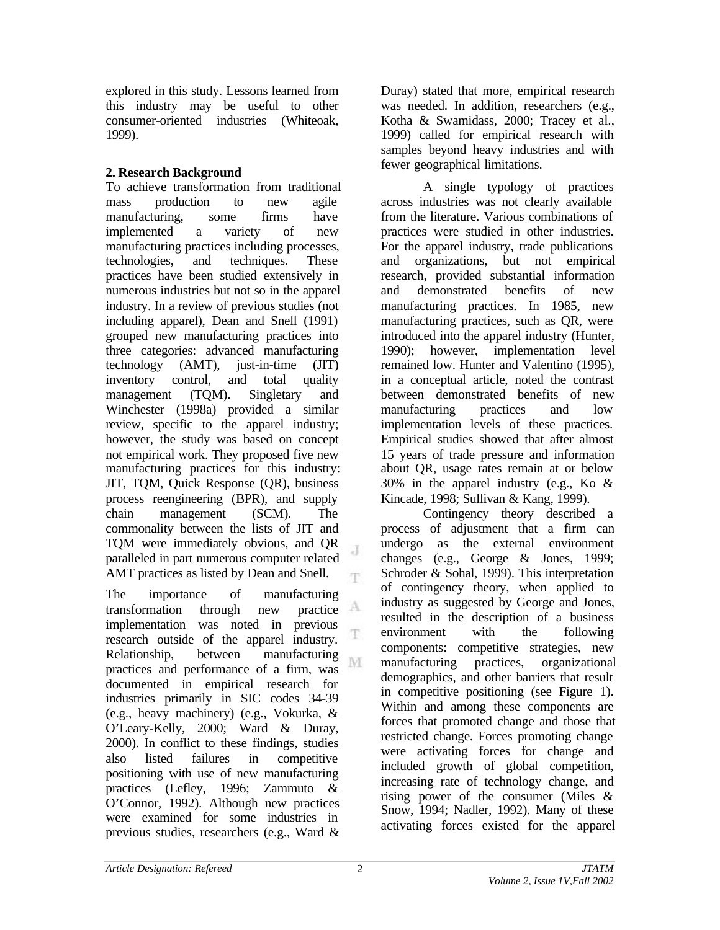explored in this study. Lessons learned from this industry may be useful to other consumer-oriented industries (Whiteoak, 1999).

## **2. Research Background**

To achieve transformation from traditional mass production to new agile manufacturing, some firms have implemented a variety of new manufacturing practices including processes, technologies, and techniques. These practices have been studied extensively in numerous industries but not so in the apparel industry. In a review of previous studies (not including apparel), Dean and Snell (1991) grouped new manufacturing practices into three categories: advanced manufacturing technology (AMT), just-in-time (JIT) inventory control, and total quality management (TQM). Singletary and Winchester (1998a) provided a similar review, specific to the apparel industry; however, the study was based on concept not empirical work. They proposed five new manufacturing practices for this industry: JIT, TQM, Quick Response (QR), business process reengineering (BPR), and supply chain management (SCM). The commonality between the lists of JIT and TQM were immediately obvious, and QR J paralleled in part numerous computer related AMT practices as listed by Dean and Snell. T.

The importance of manufacturing<br>transformation through new practice transformation through new implementation was noted in previous T. research outside of the apparel industry. Relationship, between manufacturing M practices and performance of a firm, was documented in empirical research for industries primarily in SIC codes 34-39 (e.g., heavy machinery) (e.g., Vokurka, & O'Leary-Kelly, 2000; Ward & Duray, 2000). In conflict to these findings, studies also listed failures in competitive positioning with use of new manufacturing practices (Lefley, 1996; Zammuto & O'Connor, 1992). Although new practices were examined for some industries in previous studies, researchers (e.g., Ward &

Duray) stated that more, empirical research was needed. In addition, researchers (e.g., Kotha & Swamidass, 2000; Tracey et al., 1999) called for empirical research with samples beyond heavy industries and with fewer geographical limitations.

A single typology of practices across industries was not clearly available from the literature. Various combinations of practices were studied in other industries. For the apparel industry, trade publications and organizations, but not empirical research, provided substantial information and demonstrated benefits of new manufacturing practices. In 1985, new manufacturing practices, such as QR, were introduced into the apparel industry (Hunter, 1990); however, implementation level remained low. Hunter and Valentino (1995), in a conceptual article, noted the contrast between demonstrated benefits of new manufacturing practices and low implementation levels of these practices. Empirical studies showed that after almost 15 years of trade pressure and information about QR, usage rates remain at or below 30% in the apparel industry (e.g., Ko & Kincade, 1998; Sullivan & Kang, 1999).

Contingency theory described a process of adjustment that a firm can undergo as the external environment changes (e.g., George & Jones, 1999; Schroder & Sohal, 1999). This interpretation of contingency theory, when applied to industry as suggested by George and Jones, resulted in the description of a business environment with the following components: competitive strategies, new manufacturing practices, organizational demographics, and other barriers that result in competitive positioning (see Figure 1). Within and among these components are forces that promoted change and those that restricted change. Forces promoting change were activating forces for change and included growth of global competition, increasing rate of technology change, and rising power of the consumer (Miles & Snow, 1994; Nadler, 1992). Many of these activating forces existed for the apparel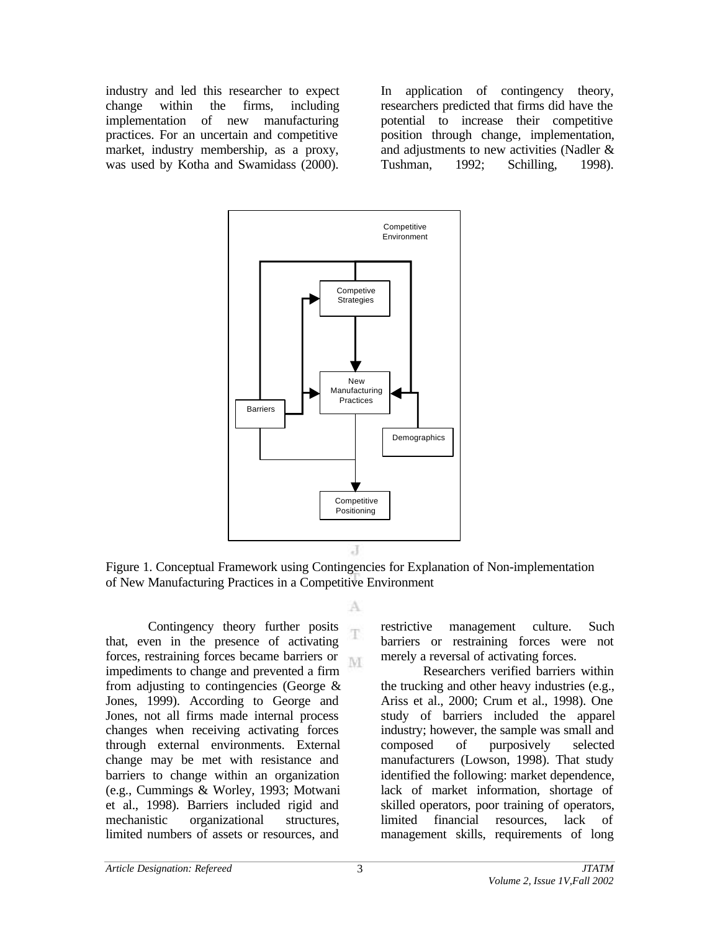industry and led this researcher to expect change within the firms, including implementation of new manufacturing practices. For an uncertain and competitive market, industry membership, as a proxy, was used by Kotha and Swamidass (2000).

In application of contingency theory, researchers predicted that firms did have the potential to increase their competitive position through change, implementation, and adjustments to new activities (Nadler & Tushman, 1992; Schilling, 1998).



Figure 1. Conceptual Framework using Contingencies for Explanation of Non-implementation of New Manufacturing Practices in a Competitive Environment

A

Contingency theory further posits that, even in the presence of activating forces, restraining forces became barriers or M. impediments to change and prevented a firm from adjusting to contingencies (George & Jones, 1999). According to George and Jones, not all firms made internal process changes when receiving activating forces through external environments. External change may be met with resistance and barriers to change within an organization (e.g., Cummings & Worley, 1993; Motwani et al., 1998). Barriers included rigid and mechanistic organizational structures, limited numbers of assets or resources, and

restrictive management culture. Such barriers or restraining forces were not merely a reversal of activating forces.

Researchers verified barriers within the trucking and other heavy industries (e.g., Ariss et al., 2000; Crum et al., 1998). One study of barriers included the apparel industry; however, the sample was small and composed of purposively selected manufacturers (Lowson, 1998). That study identified the following: market dependence, lack of market information, shortage of skilled operators, poor training of operators, limited financial resources, lack of management skills, requirements of long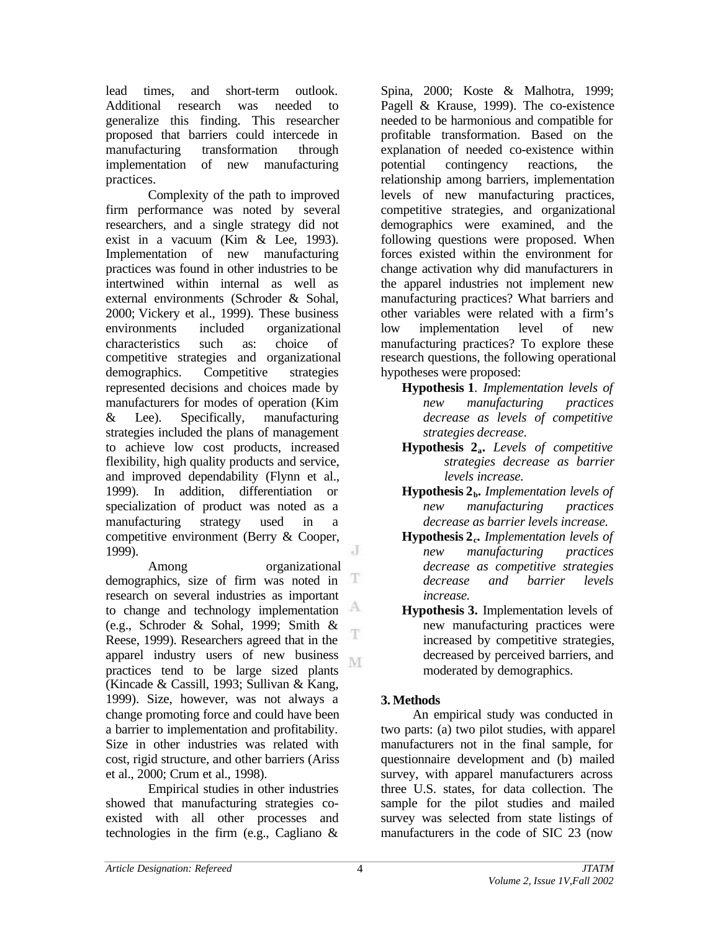lead times, and short-term outlook. Additional research was needed to generalize this finding. This researcher proposed that barriers could intercede in manufacturing transformation through implementation of new manufacturing practices.

Complexity of the path to improved firm performance was noted by several researchers, and a single strategy did not exist in a vacuum (Kim & Lee, 1993). Implementation of new manufacturing practices was found in other industries to be intertwined within internal as well as external environments (Schroder & Sohal, 2000; Vickery et al., 1999). These business environments included organizational characteristics such as: choice of competitive strategies and organizational demographics. Competitive strategies represented decisions and choices made by manufacturers for modes of operation (Kim & Lee). Specifically, manufacturing strategies included the plans of management to achieve low cost products, increased flexibility, high quality products and service, and improved dependability (Flynn et al., 1999). In addition, differentiation or specialization of product was noted as a manufacturing strategy used in a competitive environment (Berry & Cooper, J 1999).

Among organizational demographics, size of firm was noted in Ŧ research on several industries as important to change and technology implementation (e.g., Schroder & Sohal, 1999; Smith & T Reese, 1999). Researchers agreed that in the apparel industry users of new business M. practices tend to be large sized plants (Kincade & Cassill, 1993; Sullivan & Kang, 1999). Size, however, was not always a change promoting force and could have been a barrier to implementation and profitability. Size in other industries was related with cost, rigid structure, and other barriers (Ariss et al., 2000; Crum et al., 1998).

Empirical studies in other industries showed that manufacturing strategies coexisted with all other processes and technologies in the firm (e.g., Cagliano &

Spina, 2000; Koste & Malhotra, 1999; Pagell & Krause, 1999). The co-existence needed to be harmonious and compatible for profitable transformation. Based on the explanation of needed co-existence within potential contingency reactions, the relationship among barriers, implementation levels of new manufacturing practices, competitive strategies, and organizational demographics were examined, and the following questions were proposed. When forces existed within the environment for change activation why did manufacturers in the apparel industries not implement new manufacturing practices? What barriers and other variables were related with a firm's low implementation level of new manufacturing practices? To explore these research questions, the following operational hypotheses were proposed:

- **Hypothesis 1**. *Implementation levels of new manufacturing practices decrease as levels of competitive strategies decrease.*
- **Hypothesis 2a.** *Levels of competitive strategies decrease as barrier levels increase.*
- **Hypothesis 2b.** *Implementation levels of new manufacturing practices decrease as barrier levels increase.*
- **Hypothesis 2<sup>c</sup> .** *Implementation levels of new manufacturing practices decrease as competitive strategies decrease and barrier levels increase.*
- **Hypothesis 3.** Implementation levels of new manufacturing practices were increased by competitive strategies, decreased by perceived barriers, and moderated by demographics.

# **3. Methods**

An empirical study was conducted in two parts: (a) two pilot studies, with apparel manufacturers not in the final sample, for questionnaire development and (b) mailed survey, with apparel manufacturers across three U.S. states, for data collection. The sample for the pilot studies and mailed survey was selected from state listings of manufacturers in the code of SIC 23 (now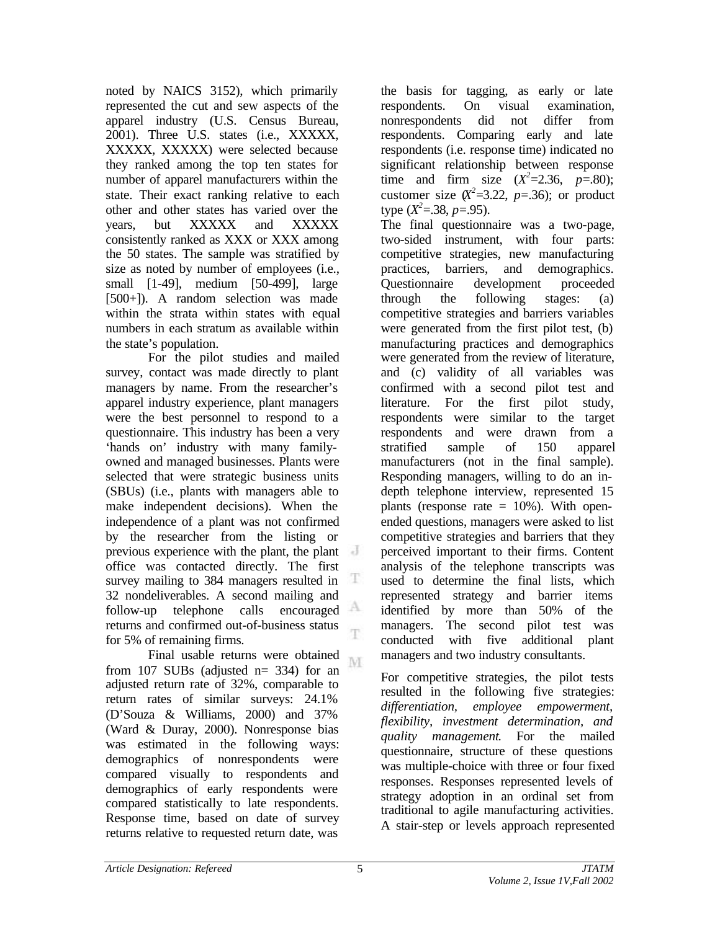noted by NAICS 3152), which primarily represented the cut and sew aspects of the apparel industry (U.S. Census Bureau, 2001). Three U.S. states (i.e., XXXXX, XXXXX, XXXXX) were selected because they ranked among the top ten states for number of apparel manufacturers within the state. Their exact ranking relative to each other and other states has varied over the years, but XXXXX and XXXXX consistently ranked as XXX or XXX among the 50 states. The sample was stratified by size as noted by number of employees (i.e., small [1-49], medium [50-499], large [500+]). A random selection was made within the strata within states with equal numbers in each stratum as available within the state's population.

For the pilot studies and mailed survey, contact was made directly to plant managers by name. From the researcher's apparel industry experience, plant managers were the best personnel to respond to a questionnaire. This industry has been a very 'hands on' industry with many familyowned and managed businesses. Plants were selected that were strategic business units (SBUs) (i.e., plants with managers able to make independent decisions). When the independence of a plant was not confirmed by the researcher from the listing or previous experience with the plant, the plant office was contacted directly. The first survey mailing to 384 managers resulted in Ŧ 32 nondeliverables. A second mailing and follow-up telephone calls encouraged returns and confirmed out-of-business status T for 5% of remaining firms.

Final usable returns were obtained M. from 107 SUBs (adjusted  $n=$  334) for an adjusted return rate of 32%, comparable to return rates of similar surveys: 24.1% (D'Souza & Williams, 2000) and 37% (Ward & Duray, 2000). Nonresponse bias was estimated in the following ways: demographics of nonrespondents were compared visually to respondents and demographics of early respondents were compared statistically to late respondents. Response time, based on date of survey returns relative to requested return date, was

the basis for tagging, as early or late respondents. On visual examination, nonrespondents did not differ from respondents. Comparing early and late respondents (i.e. response time) indicated no significant relationship between response time and firm size  $(X^2=2.36, p=.80)$ ; customer size  $(X^2=3.22, p=.36)$ ; or product type  $(X^2 = 38, p = 95)$ .

The final questionnaire was a two-page, two-sided instrument, with four parts: competitive strategies, new manufacturing practices, barriers, and demographics. Questionnaire development proceeded through the following stages: (a) competitive strategies and barriers variables were generated from the first pilot test, (b) manufacturing practices and demographics were generated from the review of literature, and (c) validity of all variables was confirmed with a second pilot test and literature. For the first pilot study, respondents were similar to the target respondents and were drawn from a stratified sample of 150 apparel manufacturers (not in the final sample). Responding managers, willing to do an indepth telephone interview, represented 15 plants (response rate  $= 10\%$ ). With openended questions, managers were asked to list competitive strategies and barriers that they perceived important to their firms. Content analysis of the telephone transcripts was used to determine the final lists, which represented strategy and barrier items identified by more than 50% of the managers. The second pilot test was conducted with five additional plant managers and two industry consultants.

For competitive strategies, the pilot tests resulted in the following five strategies: *differentiation, employee empowerment, flexibility, investment determination, and quality management*. For the mailed questionnaire, structure of these questions was multiple-choice with three or four fixed responses. Responses represented levels of strategy adoption in an ordinal set from traditional to agile manufacturing activities. A stair-step or levels approach represented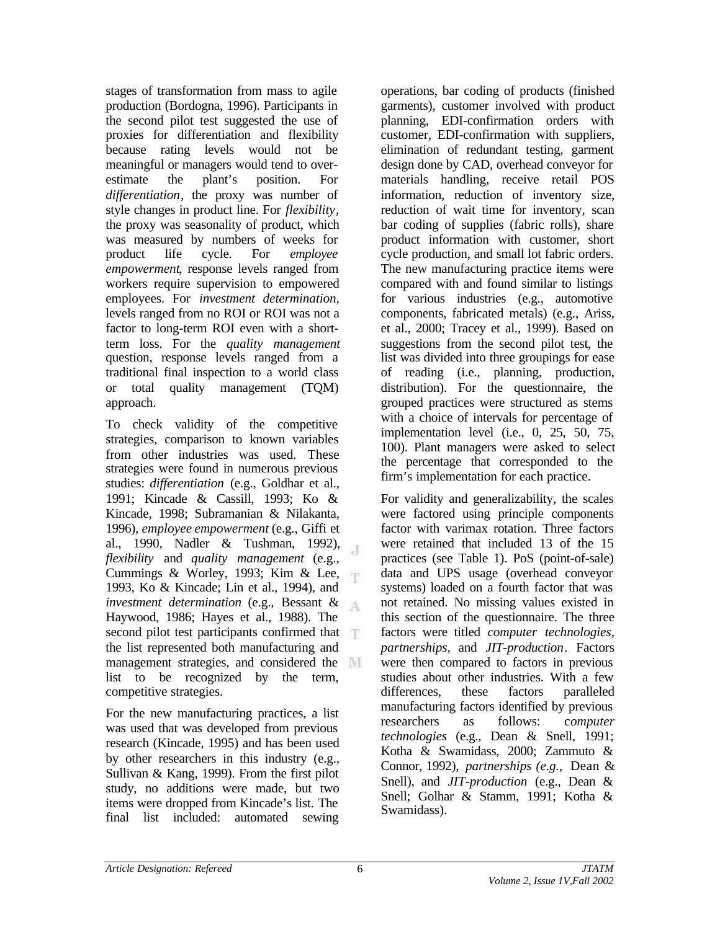stages of transformation from mass to agile production (Bordogna, 1996). Participants in the second pilot test suggested the use of proxies for differentiation and flexibility because rating levels would not be meaningful or managers would tend to overestimate the plant's position. For *differentiation*, the proxy was number of style changes in product line. For *flexibility*, the proxy was seasonality of product, which was measured by numbers of weeks for product life cycle. For *employee empowerment*, response levels ranged from workers require supervision to empowered employees. For *investment determination,* levels ranged from no ROI or ROI was not a factor to long-term ROI even with a shortterm loss. For the *quality management* question, response levels ranged from a traditional final inspection to a world class or total quality management (TQM) approach.

To check validity of the competitive strategies, comparison to known variables from other industries was used. These strategies were found in numerous previous studies: *differentiation* (e.g., Goldhar et al., 1991; Kincade & Cassill, 1993; Ko & Kincade, 1998; Subramanian & Nilakanta, 1996), *employee empowerment* (e.g., Giffi et al., 1990, Nadler & Tushman, 1992),  $\overline{A}$ *flexibility* and *quality management* (e.g., Cummings & Worley, 1993; Kim & Lee, 1993, Ko & Kincade; Lin et al., 1994), and *investment determination* (e.g., Bessant &  $\Delta$ Haywood, 1986; Hayes et al., 1988). The second pilot test participants confirmed that the list represented both manufacturing and management strategies, and considered the list to be recognized by the term, competitive strategies.

For the new manufacturing practices, a list was used that was developed from previous research (Kincade, 1995) and has been used by other researchers in this industry (e.g., Sullivan & Kang, 1999). From the first pilot study, no additions were made, but two items were dropped from Kincade's list. The final list included: automated sewing

operations, bar coding of products (finished garments), customer involved with product planning, EDI-confirmation orders with customer, EDI-confirmation with suppliers, elimination of redundant testing, garment design done by CAD, overhead conveyor for materials handling, receive retail POS information, reduction of inventory size, reduction of wait time for inventory, scan bar coding of supplies (fabric rolls), share product information with customer, short cycle production, and small lot fabric orders. The new manufacturing practice items were compared with and found similar to listings for various industries (e.g., automotive components, fabricated metals) (e.g., Ariss, et al., 2000; Tracey et al., 1999). Based on suggestions from the second pilot test, the list was divided into three groupings for ease of reading (i.e., planning, production, distribution). For the questionnaire, the grouped practices were structured as stems with a choice of intervals for percentage of implementation level (i.e., 0, 25, 50, 75, 100). Plant managers were asked to select the percentage that corresponded to the firm's implementation for each practice.

For validity and generalizability, the scales were factored using principle components factor with varimax rotation. Three factors were retained that included 13 of the 15 practices (see Table 1). PoS (point-of-sale) data and UPS usage (overhead conveyor systems) loaded on a fourth factor that was not retained. No missing values existed in this section of the questionnaire. The three factors were titled *computer technologies, partnerships,* and *JIT-production*. Factors were then compared to factors in previous studies about other industries. With a few differences, these factors paralleled manufacturing factors identified by previous researchers as follows: c*omputer technologies* (e.g., Dean & Snell, 1991; Kotha & Swamidass, 2000; Zammuto & Connor, 1992), *partnerships (e.g.,* Dean & Snell), and *JIT-production* (e.g., Dean & Snell; Golhar & Stamm, 1991; Kotha & Swamidass).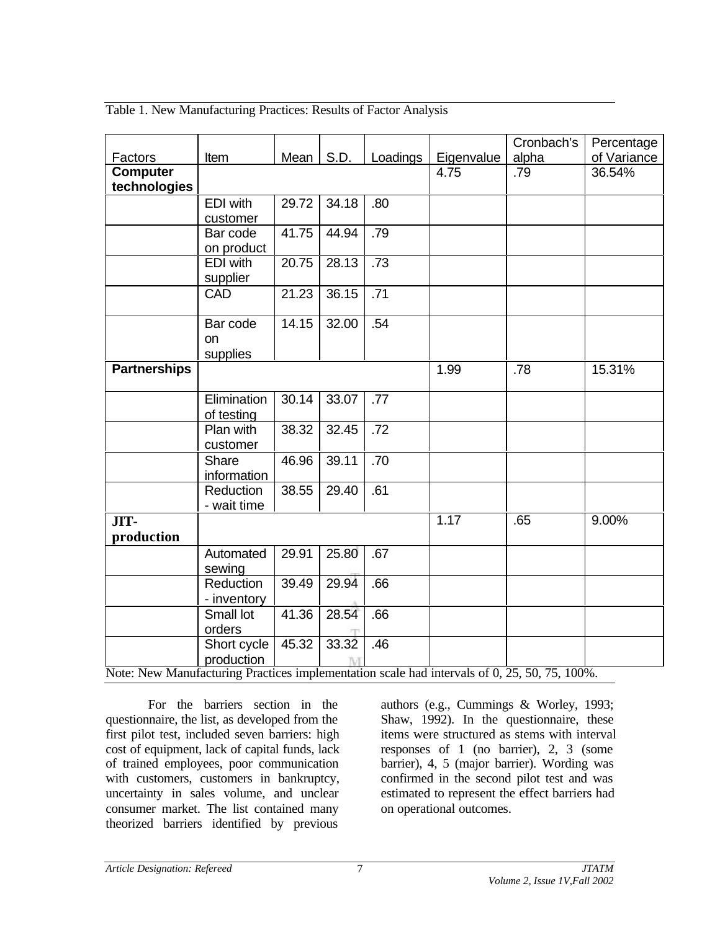Table 1. New Manufacturing Practices: Results of Factor Analysis

|                                    |                      |       |       |                     |              | Cronbach's                 | Percentage  |
|------------------------------------|----------------------|-------|-------|---------------------|--------------|----------------------------|-------------|
| Factors                            | Item                 | Mean  | S.D.  | Loadings            | Eigenvalue   | alpha                      | of Variance |
| <b>Computer</b><br>technologies    |                      |       |       |                     | 4.75         | .79                        | 36.54%      |
|                                    | EDI with             | 29.72 | 34.18 | .80                 |              |                            |             |
|                                    | customer             |       |       |                     |              |                            |             |
|                                    | Bar code             | 41.75 | 44.94 | .79                 |              |                            |             |
|                                    | on product           |       |       |                     |              |                            |             |
|                                    | <b>EDI</b> with      | 20.75 | 28.13 | $\overline{.73}$    |              |                            |             |
|                                    | supplier             |       |       |                     |              |                            |             |
|                                    | <b>CAD</b>           | 21.23 | 36.15 | .71                 |              |                            |             |
|                                    | Bar code             | 14.15 | 32.00 | .54                 |              |                            |             |
|                                    | on                   |       |       |                     |              |                            |             |
|                                    | supplies             |       |       |                     |              |                            |             |
| <b>Partnerships</b>                |                      |       |       |                     | 1.99         | .78                        | 15.31%      |
|                                    | Elimination          | 30.14 | 33.07 | .77                 |              |                            |             |
|                                    | of testing           |       |       |                     |              |                            |             |
|                                    | Plan with            | 38.32 | 32.45 | .72                 |              |                            |             |
|                                    | customer             |       |       |                     |              |                            |             |
|                                    | Share<br>information | 46.96 | 39.11 | .70                 |              |                            |             |
|                                    | Reduction            | 38.55 | 29.40 | .61                 |              |                            |             |
|                                    | - wait time          |       |       |                     |              |                            |             |
| JIT-                               |                      |       |       |                     | 1.17         | .65                        | 9.00%       |
| production                         |                      |       |       |                     |              |                            |             |
|                                    | Automated            | 29.91 | 25.80 | .67                 |              |                            |             |
|                                    | sewing               |       |       |                     |              |                            |             |
|                                    | Reduction            | 39.49 | 29.94 | .66                 |              |                            |             |
|                                    | - inventory          |       |       |                     |              |                            |             |
|                                    | Small lot<br>orders  | 41.36 | 28.54 | .66                 |              |                            |             |
|                                    | Short cycle          | 45.32 | 33.32 | .46                 |              |                            |             |
|                                    | production           |       | M     |                     |              |                            |             |
| <b>AT</b><br><b>AT</b><br><b>A</b> |                      |       |       | $1 \quad 1 \quad 1$ | $\mathbf{1}$ | $CQ$ $QF$ $FQ$ $TF$ $1000$ |             |

Note: New Manufacturing Practices implementation scale had intervals of 0, 25, 50, 75, 100%.

For the barriers section in the questionnaire, the list, as developed from the first pilot test, included seven barriers: high cost of equipment, lack of capital funds, lack of trained employees, poor communication with customers, customers in bankruptcy, uncertainty in sales volume, and unclear consumer market. The list contained many theorized barriers identified by previous

authors (e.g., Cummings & Worley, 1993; Shaw, 1992). In the questionnaire, these items were structured as stems with interval responses of 1 (no barrier), 2, 3 (some barrier), 4, 5 (major barrier). Wording was confirmed in the second pilot test and was estimated to represent the effect barriers had on operational outcomes.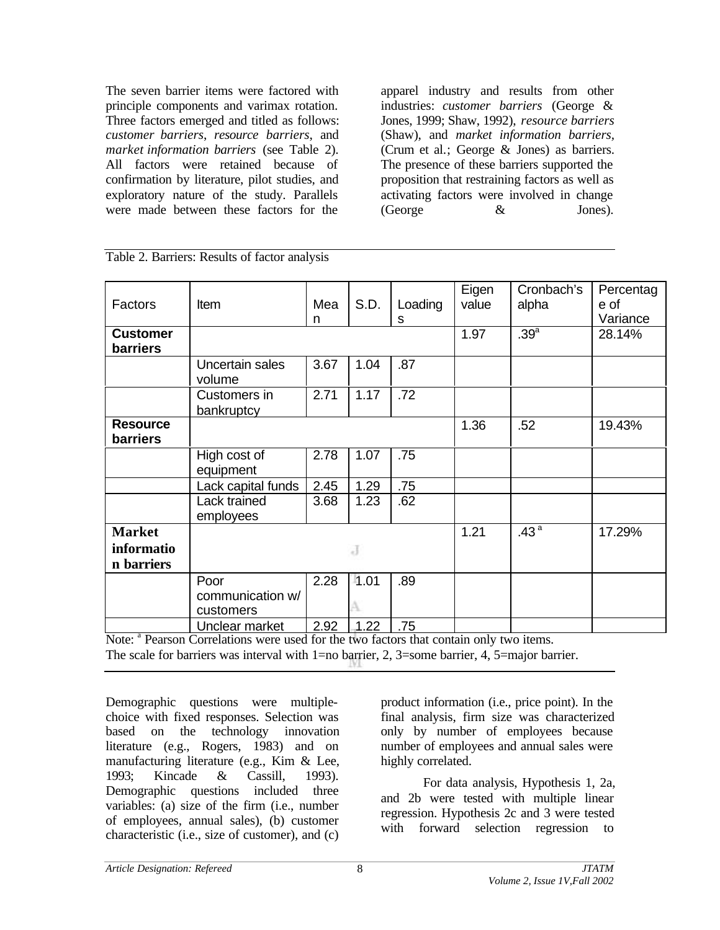The seven barrier items were factored with principle components and varimax rotation. Three factors emerged and titled as follows: *customer barriers*, *resource barriers*, and *market information barriers* (see Table 2). All factors were retained because of confirmation by literature, pilot studies, and exploratory nature of the study. Parallels were made between these factors for the

apparel industry and results from other industries: *customer barriers* (George & Jones, 1999; Shaw, 1992), *resource barriers* (Shaw), and *market information barriers,* (Crum et al.; George & Jones) as barriers. The presence of these barriers supported the proposition that restraining factors as well as activating factors were involved in change (George & Jones).

|                 |                    |      |      |         | Eigen | Cronbach's       | Percentag |
|-----------------|--------------------|------|------|---------|-------|------------------|-----------|
| Factors         | <b>Item</b>        | Mea  | S.D. | Loading | value | alpha            | e of      |
|                 |                    | n    |      | s       |       |                  | Variance  |
|                 |                    |      |      |         |       |                  |           |
| <b>Customer</b> |                    |      |      |         | 1.97  | .39 <sup>a</sup> | 28.14%    |
| barriers        |                    |      |      |         |       |                  |           |
|                 | Uncertain sales    | 3.67 | 1.04 | .87     |       |                  |           |
|                 | volume             |      |      |         |       |                  |           |
|                 | Customers in       | 2.71 | 1.17 | .72     |       |                  |           |
|                 |                    |      |      |         |       |                  |           |
|                 | bankruptcy         |      |      |         |       |                  |           |
| <b>Resource</b> |                    |      |      |         | 1.36  | .52              | 19.43%    |
| barriers        |                    |      |      |         |       |                  |           |
|                 | High cost of       | 2.78 | 1.07 | .75     |       |                  |           |
|                 | equipment          |      |      |         |       |                  |           |
|                 | Lack capital funds | 2.45 | 1.29 | .75     |       |                  |           |
|                 |                    |      |      |         |       |                  |           |
|                 | Lack trained       | 3.68 | 1.23 | .62     |       |                  |           |
|                 | employees          |      |      |         |       |                  |           |
| <b>Market</b>   |                    |      |      |         | 1.21  | .43 <sup>a</sup> | 17.29%    |
| informatio      |                    |      | J    |         |       |                  |           |
| n barriers      |                    |      |      |         |       |                  |           |
|                 | Poor               | 2.28 | 1.01 | .89     |       |                  |           |
|                 | communication w/   |      |      |         |       |                  |           |
|                 | customers          |      |      |         |       |                  |           |
|                 | Unclear market     | 2.92 | 1.22 | .75     |       |                  |           |
|                 |                    |      |      |         |       |                  |           |

Table 2. Barriers: Results of factor analysis

Note: <sup>a</sup> Pearson Correlations were used for the two factors that contain only two items. The scale for barriers was interval with  $1=$ no barrier, 2, 3=some barrier, 4, 5=major barrier.

Demographic questions were multiplechoice with fixed responses. Selection was based on the technology innovation literature (e.g., Rogers, 1983) and on manufacturing literature (e.g., Kim & Lee, 1993; Kincade & Cassill, 1993). Demographic questions included three variables: (a) size of the firm (i.e., number of employees, annual sales), (b) customer characteristic (i.e., size of customer), and (c)

product information (i.e., price point). In the final analysis, firm size was characterized only by number of employees because number of employees and annual sales were highly correlated.

For data analysis, Hypothesis 1, 2a, and 2b were tested with multiple linear regression. Hypothesis 2c and 3 were tested with forward selection regression to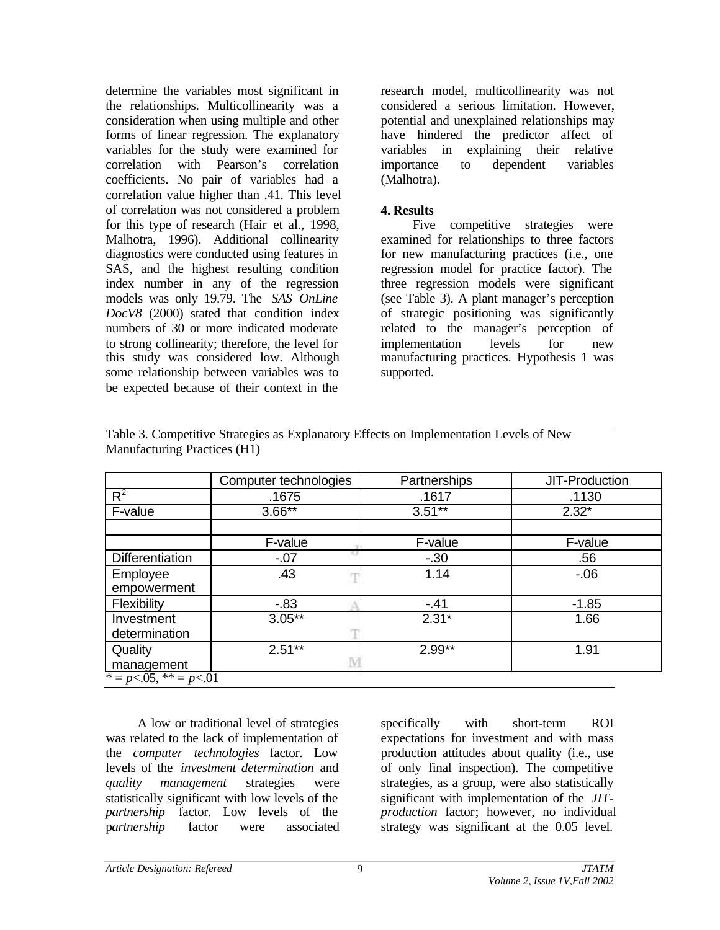determine the variables most significant in the relationships. Multicollinearity was a consideration when using multiple and other forms of linear regression. The explanatory variables for the study were examined for correlation with Pearson's correlation coefficients. No pair of variables had a correlation value higher than .41. This level of correlation was not considered a problem for this type of research (Hair et al., 1998, Malhotra, 1996). Additional collinearity diagnostics were conducted using features in SAS, and the highest resulting condition index number in any of the regression models was only 19.79. The *SAS OnLine DocV8* (2000) stated that condition index numbers of 30 or more indicated moderate to strong collinearity; therefore, the level for this study was considered low. Although some relationship between variables was to be expected because of their context in the

research model, multicollinearity was not considered a serious limitation. However, potential and unexplained relationships may have hindered the predictor affect of variables in explaining their relative importance to dependent variables (Malhotra).

### **4. Results**

Five competitive strategies were examined for relationships to three factors for new manufacturing practices (i.e., one regression model for practice factor). The three regression models were significant (see Table 3). A plant manager's perception of strategic positioning was significantly related to the manager's perception of implementation levels for new manufacturing practices. Hypothesis 1 was supported.

|                             | Computer technologies | Partnerships | JIT-Production |
|-----------------------------|-----------------------|--------------|----------------|
| $R^2$                       | .1675                 | .1617        | .1130          |
| F-value                     | $3.66**$              | $3.51***$    | $2.32*$        |
|                             |                       |              |                |
|                             | F-value               | F-value      | F-value        |
| <b>Differentiation</b>      | $-07$                 | $-30$        | .56            |
| Employee                    | .43                   | 1.14         | $-06$          |
| empowerment                 |                       |              |                |
| Flexibility                 | $-0.83$               | $-41$        | $-1.85$        |
| Investment                  | $3.05***$             | $2.31*$      | 1.66           |
| determination               |                       |              |                |
| Quality                     | $2.51**$              | $2.99**$     | 1.91           |
| management                  |                       |              |                |
| $* = p < .05, ** = p < .01$ |                       |              |                |

Table 3. Competitive Strategies as Explanatory Effects on Implementation Levels of New Manufacturing Practices (H1)

A low or traditional level of strategies was related to the lack of implementation of the *computer technologies* factor. Low levels of the *investment determination* and *quality management* strategies were statistically significant with low levels of the *partnership* factor. Low levels of the p*artnership* factor were associated

specifically with short-term ROI expectations for investment and with mass production attitudes about quality (i.e., use of only final inspection). The competitive strategies, as a group, were also statistically significant with implementation of the *JITproduction* factor; however, no individual strategy was significant at the 0.05 level.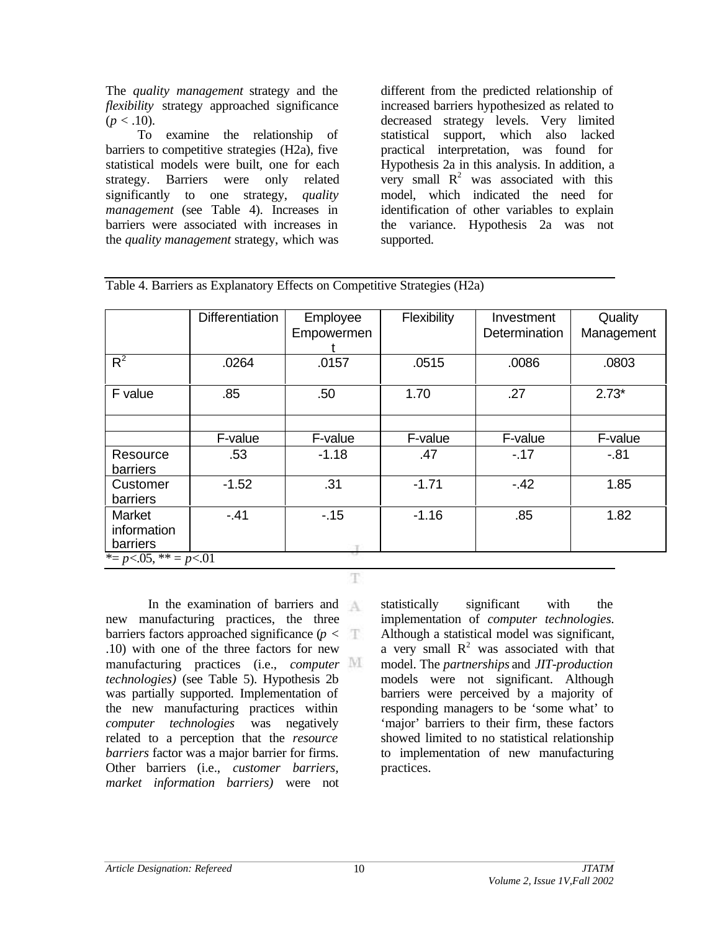The *quality management* strategy and the *flexibility* strategy approached significance  $(p < .10)$ .

To examine the relationship of barriers to competitive strategies (H2a), five statistical models were built, one for each strategy. Barriers were only related significantly to one strategy, *quality management* (see Table 4). Increases in barriers were associated with increases in the *quality management* strategy, which was

different from the predicted relationship of increased barriers hypothesized as related to decreased strategy levels. Very limited statistical support, which also lacked practical interpretation, was found for Hypothesis 2a in this analysis. In addition, a very small  $R^2$  was associated with this model, which indicated the need for identification of other variables to explain the variance. Hypothesis 2a was not supported.

|                                   | <b>Differentiation</b> | Employee   | Flexibility | Investment    | Quality    |
|-----------------------------------|------------------------|------------|-------------|---------------|------------|
|                                   |                        | Empowermen |             | Determination | Management |
|                                   |                        |            |             |               |            |
|                                   |                        |            |             |               |            |
| $R^2$                             | .0264                  | .0157      | .0515       | .0086         | .0803      |
|                                   |                        |            |             |               |            |
| F value                           | .85                    | .50        | 1.70        | .27           | $2.73*$    |
|                                   |                        |            |             |               |            |
|                                   |                        |            |             |               |            |
|                                   |                        |            |             |               |            |
|                                   | F-value                | F-value    | F-value     | F-value       | F-value    |
| Resource                          | .53                    | $-1.18$    | .47         | $-.17$        | $-81$      |
| barriers                          |                        |            |             |               |            |
|                                   |                        |            |             |               |            |
| Customer                          | $-1.52$                | .31        | $-1.71$     | $-42$         | 1.85       |
| barriers                          |                        |            |             |               |            |
| Market                            | $-.41$                 | $-15$      | $-1.16$     | .85           | 1.82       |
| information                       |                        |            |             |               |            |
| barriers                          |                        |            |             |               |            |
|                                   |                        |            |             |               |            |
| * = $p < 0.05$ , * * = $p < 0.01$ |                        |            |             |               |            |

T

Table 4. Barriers as Explanatory Effects on Competitive Strategies (H2a)

In the examination of barriers and new manufacturing practices, the three barriers factors approached significance  $(p < \top)$ .10) with one of the three factors for new manufacturing practices (i.e., *computer technologies)* (see Table 5). Hypothesis 2b was partially supported. Implementation of the new manufacturing practices within *computer technologies* was negatively related to a perception that the *resource barriers* factor was a major barrier for firms. Other barriers (i.e., *customer barriers, market information barriers)* were not

statistically significant with the implementation of *computer technologies.* Although a statistical model was significant, a very small  $R^2$  was associated with that model. The *partnerships* and *JIT-production* models were not significant. Although barriers were perceived by a majority of responding managers to be 'some what' to 'major' barriers to their firm, these factors showed limited to no statistical relationship to implementation of new manufacturing practices.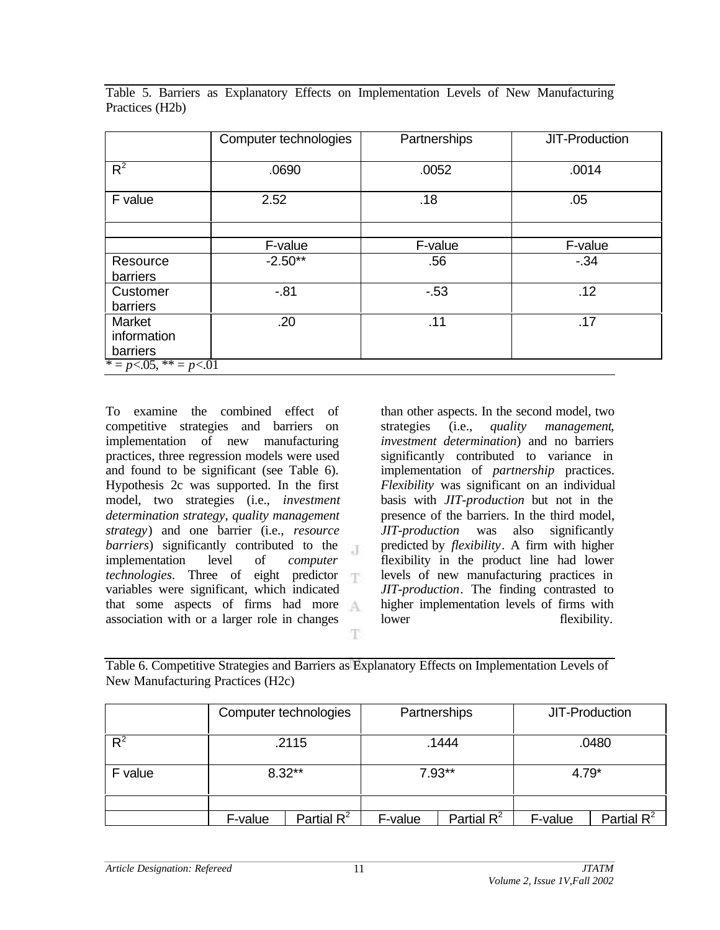|                                                           | Computer technologies | Partnerships | JIT-Production |
|-----------------------------------------------------------|-----------------------|--------------|----------------|
| $R^2$                                                     | .0690                 | .0052        | .0014          |
| F value                                                   | 2.52                  | .18          | .05            |
|                                                           |                       |              |                |
|                                                           | F-value               | F-value      | F-value        |
| Resource                                                  | $-2.50**$             | .56          | $-34$          |
| barriers                                                  |                       |              |                |
| Customer                                                  | $-81$                 | $-53$        | .12            |
| barriers                                                  |                       |              |                |
| Market                                                    | .20                   | .11          | .17            |
| information                                               |                       |              |                |
| barriers                                                  |                       |              |                |
| $\overline{p} = p \le 0.05$ , $\overline{p} = p \le 0.01$ |                       |              |                |

Table 5. Barriers as Explanatory Effects on Implementation Levels of New Manufacturing Practices (H2b)

To examine the combined effect of competitive strategies and barriers on implementation of new manufacturing practices, three regression models were used and found to be significant (see Table 6). Hypothesis 2c was supported. In the first model, two strategies (i.e., *investment determination strategy, quality management strategy*) and one barrier (i.e., *resource barriers*) significantly contributed to the  $\mathcal{X}$ implementation level of *computer technologies*. Three of eight predictor variables were significant, which indicated that some aspects of firms had more association with or a larger role in changes T.

than other aspects. In the second model, two strategies (i.e., *quality management*, *investment determination*) and no barriers significantly contributed to variance in implementation of *partnership* practices. *Flexibility* was significant on an individual basis with *JIT-production* but not in the presence of the barriers. In the third model, *JIT-production* was also significantly predicted by *flexibility*. A firm with higher flexibility in the product line had lower levels of new manufacturing practices in *JIT-production*. The finding contrasted to higher implementation levels of firms with lower flexibility.

Table 6. Competitive Strategies and Barriers as Explanatory Effects on Implementation Levels of New Manufacturing Practices (H2c)

|         | Computer technologies |               | Partnerships |               | JIT-Production |               |
|---------|-----------------------|---------------|--------------|---------------|----------------|---------------|
| $R^2$   | .2115                 |               | .1444        |               | .0480          |               |
| F value | $8.32***$             |               | $7.93**$     |               | $4.79*$        |               |
|         |                       |               |              |               |                |               |
|         | F-value               | Partial $R^2$ | F-value      | Partial $R^2$ | F-value        | Partial $R^2$ |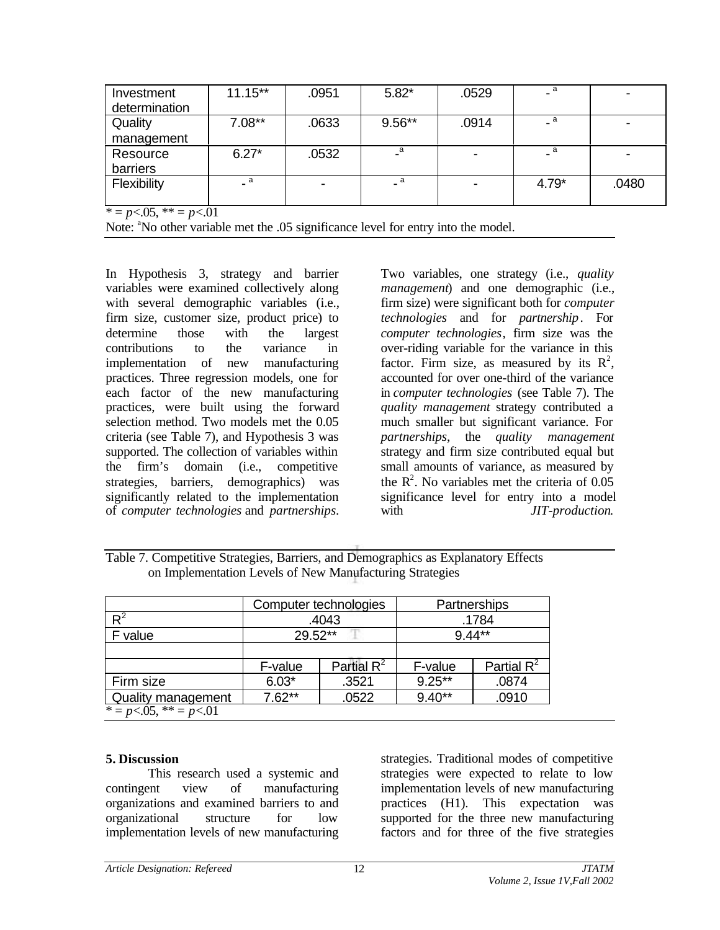| Investment                                           | $11.15**$     | .0951 | $5.82*$  | .0529 | - a                        |       |
|------------------------------------------------------|---------------|-------|----------|-------|----------------------------|-------|
| determination                                        |               |       |          |       |                            |       |
| Quality                                              | $7.08**$      | .0633 | $9.56**$ | .0914 | $\overline{\phantom{a}}$ a |       |
| management                                           |               |       |          |       |                            |       |
| Resource                                             | $6.27*$       | .0532 | a        |       | _ a                        |       |
| barriers                                             |               |       |          |       |                            |       |
| Flexibility                                          | - a           |       | a        |       | $4.79*$                    | .0480 |
| $\sim$ $\sim$ $\sim$ $\sim$<br>$\sim$ $ \sim$ $\sim$ | $\sim$ $\sim$ |       |          |       |                            |       |

 $* = p < .05, ** = p < .01$ 

Note: <sup>a</sup>No other variable met the .05 significance level for entry into the model.

In Hypothesis 3, strategy and barrier variables were examined collectively along with several demographic variables (i.e., firm size, customer size, product price) to determine those with the largest contributions to the variance in implementation of new manufacturing practices. Three regression models, one for each factor of the new manufacturing practices, were built using the forward selection method. Two models met the 0.05 criteria (see Table 7), and Hypothesis 3 was supported. The collection of variables within the firm's domain (i.e., competitive strategies, barriers, demographics) was significantly related to the implementation of *computer technologies* and *partnerships*.

Two variables, one strategy (i.e., *quality management*) and one demographic (i.e., firm size) were significant both for *computer technologies* and for *partnership*. For *computer technologies*, firm size was the over-riding variable for the variance in this factor. Firm size, as measured by its  $R^2$ , accounted for over one-third of the variance in *computer technologies* (see Table 7). The *quality management* strategy contributed a much smaller but significant variance. For *partnerships*, the *quality management* strategy and firm size contributed equal but small amounts of variance, as measured by the  $\mathbb{R}^2$ . No variables met the criteria of 0.05 significance level for entry into a model with  $JIT$ -production.

Table 7. Competitive Strategies, Barriers, and Demographics as Explanatory Effects on Implementation Levels of New Manufacturing Strategies

|                             |                   | Computer technologies | Partnerships |               |  |
|-----------------------------|-------------------|-----------------------|--------------|---------------|--|
| $R^2$                       |                   | .4043                 | .1784        |               |  |
| F value                     | 29.52**           |                       | $9.44**$     |               |  |
|                             |                   |                       |              |               |  |
|                             | F-value           | Partial $R^2$         | F-value      | Partial $R^2$ |  |
| Firm size                   | $6.03*$           | .3521                 | $9.25***$    | .0874         |  |
| Quality management          | $7.62**$<br>.0522 |                       | $9.40**$     | .0910         |  |
| $* = p < .05, ** = p < .01$ |                   |                       |              |               |  |

### **5. Discussion**

This research used a systemic and contingent view of manufacturing organizations and examined barriers to and organizational structure for low implementation levels of new manufacturing

strategies. Traditional modes of competitive strategies were expected to relate to low implementation levels of new manufacturing practices (H1). This expectation was supported for the three new manufacturing factors and for three of the five strategies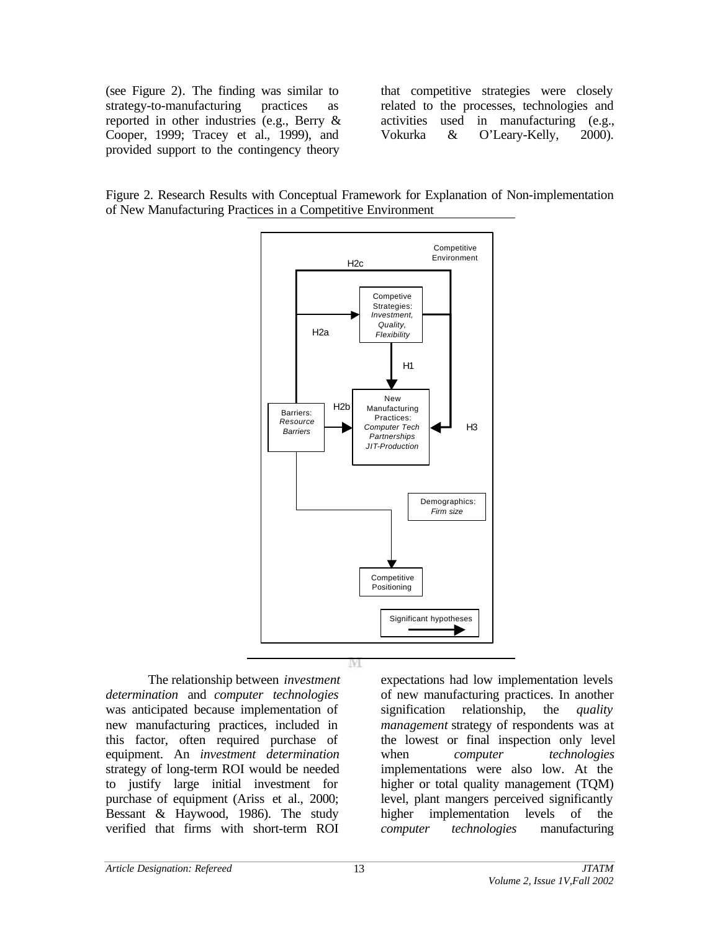(see Figure 2)*.* The finding was similar to strategy-to-manufacturing practices as reported in other industries (e.g., Berry & Cooper, 1999; Tracey et al., 1999), and provided support to the contingency theory

that competitive strategies were closely related to the processes, technologies and activities used in manufacturing (e.g., Vokurka & O'Leary-Kelly, 2000).

Figure 2. Research Results with Conceptual Framework for Explanation of Non-implementation of New Manufacturing Practices in a Competitive Environment



M

The relationship between *investment determination* and *computer technologies* was anticipated because implementation of new manufacturing practices, included in this factor, often required purchase of equipment. An *investment determination* strategy of long-term ROI would be needed to justify large initial investment for purchase of equipment (Ariss et al., 2000; Bessant & Haywood, 1986). The study verified that firms with short-term ROI

expectations had low implementation levels of new manufacturing practices. In another signification relationship, the *quality management* strategy of respondents was at the lowest or final inspection only level when *computer technologies* implementations were also low. At the higher or total quality management (TQM) level, plant mangers perceived significantly higher implementation levels of the *computer technologies* manufacturing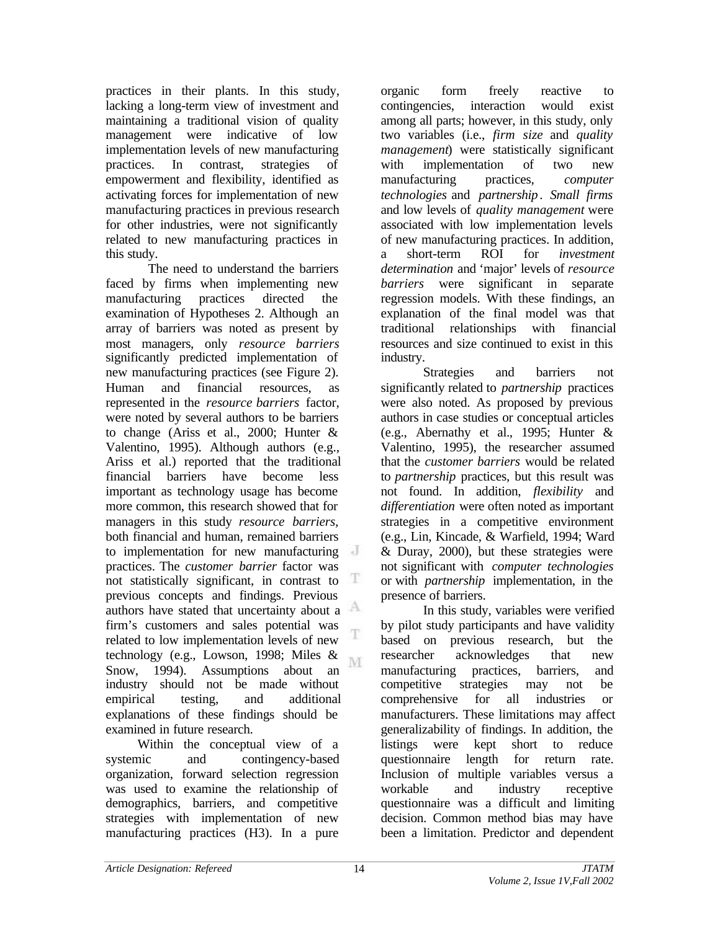practices in their plants. In this study, lacking a long-term view of investment and maintaining a traditional vision of quality management were indicative of low implementation levels of new manufacturing practices. In contrast, strategies of empowerment and flexibility, identified as activating forces for implementation of new manufacturing practices in previous research for other industries, were not significantly related to new manufacturing practices in this study.

The need to understand the barriers faced by firms when implementing new manufacturing practices directed the examination of Hypotheses 2. Although an array of barriers was noted as present by most managers, only *resource barriers* significantly predicted implementation of new manufacturing practices (see Figure 2). Human and financial resources, as represented in the *resource barriers* factor, were noted by several authors to be barriers to change (Ariss et al., 2000; Hunter & Valentino, 1995). Although authors (e.g., Ariss et al.) reported that the traditional financial barriers have become less important as technology usage has become more common, this research showed that for managers in this study *resource barriers,* both financial and human, remained barriers to implementation for new manufacturing practices. The *customer barrier* factor was not statistically significant, in contrast to Ŧ. previous concepts and findings. Previous authors have stated that uncertainty about a firm's customers and sales potential was T related to low implementation levels of new technology (e.g., Lowson, 1998; Miles & M. Snow, 1994). Assumptions about an industry should not be made without empirical testing, and additional explanations of these findings should be examined in future research.

Within the conceptual view of a systemic and contingency-based organization, forward selection regression was used to examine the relationship of demographics, barriers, and competitive strategies with implementation of new manufacturing practices (H3). In a pure

organic form freely reactive to contingencies, interaction would exist among all parts; however, in this study, only two variables (i.e., *firm size* and *quality management*) were statistically significant with implementation of two new manufacturing practices, *computer technologies* and *partnership*. *Small firms* and low levels of *quality management* were associated with low implementation levels of new manufacturing practices. In addition, a short-term ROI for *investment determination* and 'major' levels of *resource barriers* were significant in separate regression models. With these findings, an explanation of the final model was that traditional relationships with financial resources and size continued to exist in this industry.

Strategies and barriers not significantly related to *partnership* practices were also noted. As proposed by previous authors in case studies or conceptual articles (e.g., Abernathy et al., 1995; Hunter & Valentino, 1995), the researcher assumed that the *customer barriers* would be related to *partnership* practices, but this result was not found. In addition, *flexibility* and *differentiation* were often noted as important strategies in a competitive environment (e.g., Lin, Kincade, & Warfield, 1994; Ward & Duray, 2000), but these strategies were not significant with *computer technologies* or with *partnership* implementation, in the presence of barriers.

In this study, variables were verified by pilot study participants and have validity based on previous research, but the researcher acknowledges that new manufacturing practices, barriers, and competitive strategies may not be comprehensive for all industries or manufacturers. These limitations may affect generalizability of findings. In addition, the listings were kept short to reduce questionnaire length for return rate. Inclusion of multiple variables versus a workable and industry receptive questionnaire was a difficult and limiting decision. Common method bias may have been a limitation. Predictor and dependent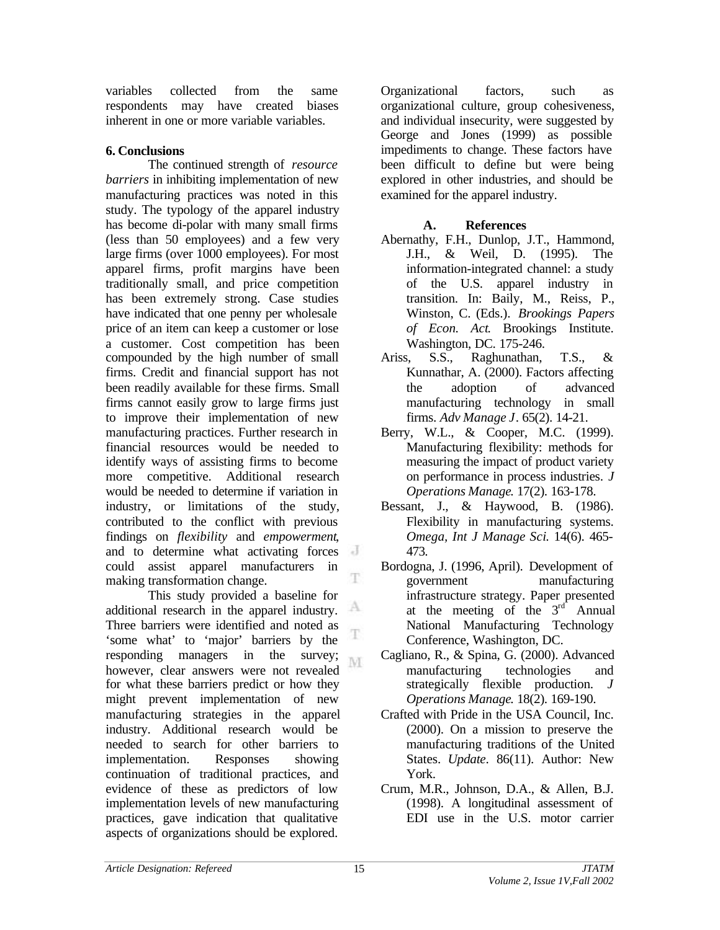variables collected from the same respondents may have created biases inherent in one or more variable variables.

# **6. Conclusions**

The continued strength of *resource barriers* in inhibiting implementation of new manufacturing practices was noted in this study. The typology of the apparel industry has become di-polar with many small firms (less than 50 employees) and a few very large firms (over 1000 employees). For most apparel firms, profit margins have been traditionally small, and price competition has been extremely strong. Case studies have indicated that one penny per wholesale price of an item can keep a customer or lose a customer. Cost competition has been compounded by the high number of small firms. Credit and financial support has not been readily available for these firms. Small firms cannot easily grow to large firms just to improve their implementation of new manufacturing practices. Further research in financial resources would be needed to identify ways of assisting firms to become more competitive. Additional research would be needed to determine if variation in industry, or limitations of the study, contributed to the conflict with previous findings on *flexibility* and *empowerment*, and to determine what activating forces could assist apparel manufacturers in T. making transformation change.

This study provided a baseline for А additional research in the apparel industry. Three barriers were identified and noted as T 'some what' to 'major' barriers by the responding managers in the survey; M. however, clear answers were not revealed for what these barriers predict or how they might prevent implementation of new manufacturing strategies in the apparel industry. Additional research would be needed to search for other barriers to implementation. Responses showing continuation of traditional practices, and evidence of these as predictors of low implementation levels of new manufacturing practices, gave indication that qualitative aspects of organizations should be explored.

Organizational factors, such as organizational culture, group cohesiveness, and individual insecurity, were suggested by George and Jones (1999) as possible impediments to change. These factors have been difficult to define but were being explored in other industries, and should be examined for the apparel industry.

## **A. References**

- Abernathy, F.H., Dunlop, J.T., Hammond, J.H., & Weil, D. (1995). The information-integrated channel: a study of the U.S. apparel industry in transition. In: Baily, M., Reiss, P., Winston, C. (Eds.). *Brookings Papers of Econ. Act*. Brookings Institute. Washington, DC. 175-246.
- Ariss, S.S., Raghunathan, T.S., & Kunnathar, A. (2000). Factors affecting the adoption of advanced manufacturing technology in small firms. *Adv Manage J*. 65(2). 14-21.
- Berry, W.L., & Cooper, M.C. (1999). Manufacturing flexibility: methods for measuring the impact of product variety on performance in process industries. *J Operations Manage*. 17(2). 163-178.
- Bessant, J., & Haywood, B. (1986). Flexibility in manufacturing systems. *Omega, Int J Manage Sci*. 14(6). 465- 473.
- Bordogna, J. (1996, April). Development of government manufacturing infrastructure strategy. Paper presented at the meeting of the  $3<sup>rd</sup>$  Annual National Manufacturing Technology Conference, Washington, DC.
- Cagliano, R., & Spina, G. (2000). Advanced manufacturing technologies and strategically flexible production. *J Operations Manage*. 18(2). 169-190.
- Crafted with Pride in the USA Council, Inc. (2000). On a mission to preserve the manufacturing traditions of the United States. *Update*. 86(11). Author: New York.
- Crum, M.R., Johnson, D.A., & Allen, B.J. (1998). A longitudinal assessment of EDI use in the U.S. motor carrier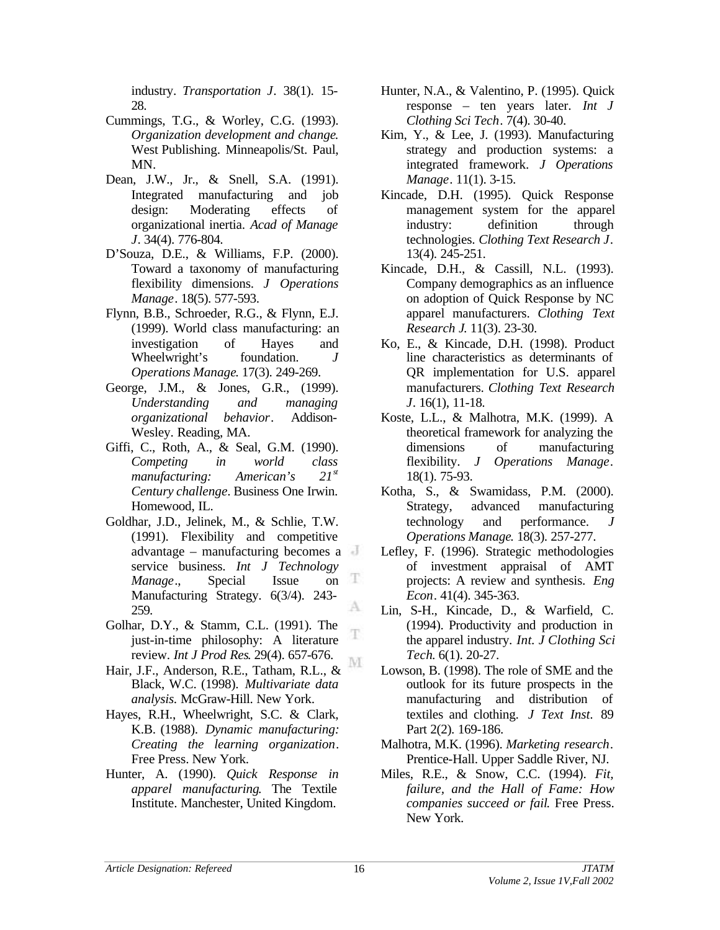industry. *Transportation J*. 38(1). 15- 28.

- Cummings, T.G., & Worley, C.G. (1993). *Organization development and change*. West Publishing. Minneapolis/St. Paul, MN.
- Dean, J.W., Jr., & Snell, S.A. (1991). Integrated manufacturing and job design: Moderating effects of organizational inertia. *Acad of Manage J*. 34(4). 776-804.
- D'Souza, D.E., & Williams, F.P. (2000). Toward a taxonomy of manufacturing flexibility dimensions. *J Operations Manage*. 18(5). 577-593.
- Flynn, B.B., Schroeder, R.G., & Flynn, E.J. (1999). World class manufacturing: an investigation of Hayes and Wheelwright's foundation. *J Operations Manage*. 17(3). 249-269.
- George, J.M., & Jones, G.R., (1999). *Understanding and managing organizational behavior*. Addison-Wesley. Reading, MA.
- Giffi, C., Roth, A., & Seal, G.M. (1990). *Competing in world class manufacturing: American's 21st Century challenge*. Business One Irwin. Homewood, IL.
- Goldhar, J.D., Jelinek, M., & Schlie, T.W. (1991). Flexibility and competitive advantage – manufacturing becomes a service business. *Int J Technology Manage*., Special Issue on æ Manufacturing Strategy. 6(3/4). 243- A 259.
- Golhar, D.Y., & Stamm, C.L. (1991). The just-in-time philosophy: A literature review. *Int J Prod Res*. 29(4). 657-676. M
- Hair, J.F., Anderson, R.E., Tatham, R.L., & Black, W.C. (1998). *Multivariate data analysis.* McGraw-Hill. New York.
- Hayes, R.H., Wheelwright, S.C. & Clark, K.B. (1988). *Dynamic manufacturing: Creating the learning organization*. Free Press. New York.
- Hunter, A. (1990). *Quick Response in apparel manufacturing*. The Textile Institute. Manchester, United Kingdom.
- Hunter, N.A., & Valentino, P. (1995). Quick response – ten years later. *Int J Clothing Sci Tech*. 7(4). 30-40.
- Kim, Y., & Lee, J. (1993). Manufacturing strategy and production systems: a integrated framework. *J Operations Manage*. 11(1). 3-15.
- Kincade, D.H. (1995). Quick Response management system for the apparel industry: definition through technologies. *Clothing Text Research J*. 13(4). 245-251.
- Kincade, D.H., & Cassill, N.L. (1993). Company demographics as an influence on adoption of Quick Response by NC apparel manufacturers. *Clothing Text Research J*. 11(3). 23-30.
- Ko, E., & Kincade, D.H. (1998). Product line characteristics as determinants of QR implementation for U.S. apparel manufacturers. *Clothing Text Research J*. 16(1), 11-18.
- Koste, L.L., & Malhotra, M.K. (1999). A theoretical framework for analyzing the dimensions of manufacturing flexibility. *J Operations Manage*. 18(1). 75-93.
- Kotha, S., & Swamidass, P.M. (2000). Strategy, advanced manufacturing technology and performance. *J Operations Manage*. 18(3). 257-277.
- Lefley, F. (1996). Strategic methodologies of investment appraisal of AMT projects: A review and synthesis. *Eng Econ*. 41(4). 345-363.
- Lin, S-H., Kincade, D., & Warfield, C. (1994). Productivity and production in the apparel industry. *Int. J Clothing Sci Tech*. 6(1). 20-27.
- Lowson, B. (1998). The role of SME and the outlook for its future prospects in the manufacturing and distribution of textiles and clothing. *J Text Inst*. 89 Part 2(2). 169-186.
- Malhotra, M.K. (1996). *Marketing research*. Prentice-Hall. Upper Saddle River, NJ.
- Miles, R.E., & Snow, C.C. (1994). *Fit, failure, and the Hall of Fame: How companies succeed or fail*. Free Press. New York.

T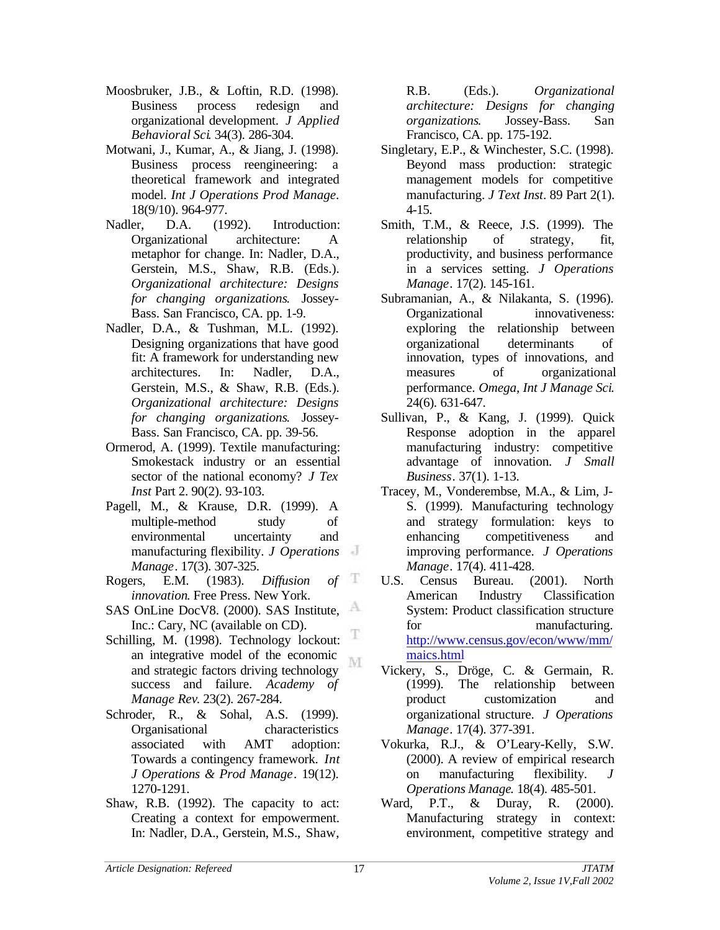- Moosbruker, J.B., & Loftin, R.D. (1998). Business process redesign and organizational development. *J Applied Behavioral Sci*. 34(3). 286-304.
- Motwani, J., Kumar, A., & Jiang, J. (1998). Business process reengineering: a theoretical framework and integrated model. *Int J Operations Prod Manage*. 18(9/10). 964-977.
- Nadler, D.A. (1992). Introduction: Organizational architecture: A metaphor for change. In: Nadler, D.A., Gerstein, M.S., Shaw, R.B. (Eds.). *Organizational architecture: Designs for changing organizations*. Jossey-Bass. San Francisco, CA. pp. 1-9.
- Nadler, D.A., & Tushman, M.L. (1992). Designing organizations that have good fit: A framework for understanding new architectures. In: Nadler, D.A., Gerstein, M.S., & Shaw, R.B. (Eds.). *Organizational architecture: Designs for changing organizations*. Jossey-Bass. San Francisco, CA. pp. 39-56.
- Ormerod, A. (1999). Textile manufacturing: Smokestack industry or an essential sector of the national economy? *J Tex Inst* Part 2. 90(2). 93-103.
- Pagell, M., & Krause, D.R. (1999). A multiple-method study of environmental uncertainty and manufacturing flexibility. *J Operations Manage*. 17(3). 307-325.
- Rogers, E.M. (1983). *Diffusion of* Æ *innovation*. Free Press. New York.
- SAS OnLine DocV8. (2000). SAS Institute, Inc.: Cary, NC (available on CD).
- Schilling, M. (1998). Technology lockout: an integrative model of the economic M and strategic factors driving technology success and failure. *Academy of Manage Rev*. 23(2). 267-284.
- Schroder, R., & Sohal, A.S. (1999). Organisational characteristics associated with AMT adoption: Towards a contingency framework. *Int J Operations & Prod Manage*. 19(12). 1270-1291.
- Shaw, R.B. (1992). The capacity to act: Creating a context for empowerment. In: Nadler, D.A., Gerstein, M.S., Shaw,

R.B. (Eds.). *Organizational architecture: Designs for changing organizations*. Jossey-Bass. San Francisco, CA. pp. 175-192.

- Singletary, E.P., & Winchester, S.C. (1998). Beyond mass production: strategic management models for competitive manufacturing. *J Text Inst*. 89 Part 2(1). 4-15.
- Smith, T.M., & Reece, J.S. (1999). The relationship of strategy, fit, productivity, and business performance in a services setting. *J Operations Manage*. 17(2). 145-161.
- Subramanian, A., & Nilakanta, S. (1996). Organizational innovativeness: exploring the relationship between organizational determinants of innovation, types of innovations, and measures of organizational performance. *Omega, Int J Manage Sci*. 24(6). 631-647.
- Sullivan, P., & Kang, J. (1999). Quick Response adoption in the apparel manufacturing industry: competitive advantage of innovation. *J Small Business*. 37(1). 1-13.
- Tracey, M., Vonderembse, M.A., & Lim, J-S. (1999). Manufacturing technology and strategy formulation: keys to enhancing competitiveness and improving performance. *J Operations Manage*. 17(4). 411-428.
- U.S. Census Bureau. (2001). North American Industry Classification System: Product classification structure for manufacturing. http://www.census.gov/econ/www/mm/ maics.html
- Vickery, S., Dröge, C. & Germain, R. (1999). The relationship between product customization and organizational structure. *J Operations Manage*. 17(4). 377-391.
- Vokurka, R.J., & O'Leary-Kelly, S.W. (2000). A review of empirical research on manufacturing flexibility. *J Operations Manage*. 18(4). 485-501.
- Ward, P.T., & Duray, R. (2000). Manufacturing strategy in context: environment, competitive strategy and

T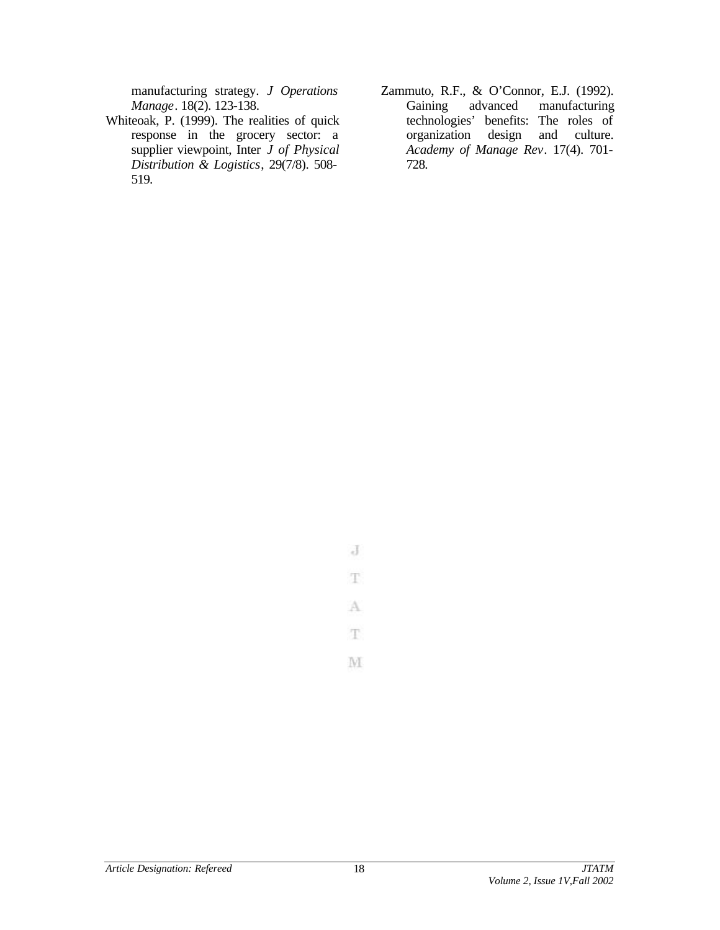manufacturing strategy. *J Operations Manage*. 18(2). 123-138.

- Whiteoak, P. (1999). The realities of quick response in the grocery sector: a supplier viewpoint, Inter *J of Physical Distribution & Logistics*, 29(7/8). 508- 519.
- Zammuto, R.F., & O'Connor, E.J. (1992). Gaining advanced manufacturing technologies' benefits: The roles of organization design and culture. *Academy of Manage Rev*. 17(4). 701- 728.

 $\overline{d}$ T. A

T. M